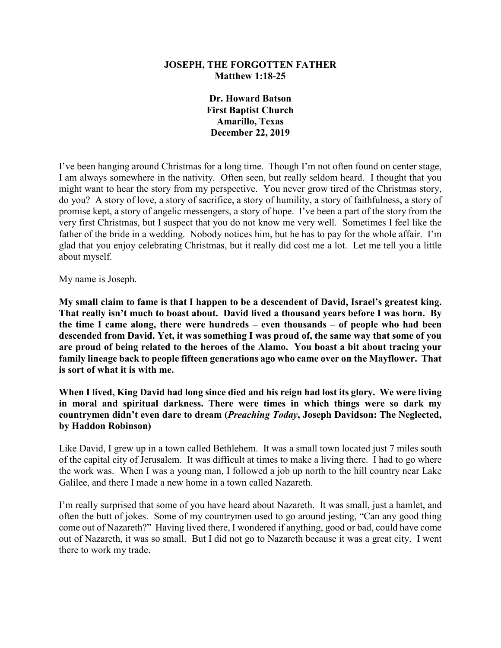## **JOSEPH, THE FORGOTTEN FATHER Matthew 1:18-25**

**Dr. Howard Batson First Baptist Church Amarillo, Texas December 22, 2019**

I've been hanging around Christmas for a long time. Though I'm not often found on center stage, I am always somewhere in the nativity. Often seen, but really seldom heard. I thought that you might want to hear the story from my perspective. You never grow tired of the Christmas story, do you? A story of love, a story of sacrifice, a story of humility, a story of faithfulness, a story of promise kept, a story of angelic messengers, a story of hope. I've been a part of the story from the very first Christmas, but I suspect that you do not know me very well. Sometimes I feel like the father of the bride in a wedding. Nobody notices him, but he has to pay for the whole affair. I'm glad that you enjoy celebrating Christmas, but it really did cost me a lot. Let me tell you a little about myself.

My name is Joseph.

**My small claim to fame is that I happen to be a descendent of David, Israel's greatest king. That really isn't much to boast about. David lived a thousand years before I was born. By the time I came along, there were hundreds – even thousands – of people who had been descended from David. Yet, it was something I was proud of, the same way that some of you are proud of being related to the heroes of the Alamo. You boast a bit about tracing your family lineage back to people fifteen generations ago who came over on the Mayflower. That is sort of what it is with me.**

**When I lived, King David had long since died and his reign had lost its glory. We were living in moral and spiritual darkness. There were times in which things were so dark my countrymen didn't even dare to dream (***Preaching Today***, Joseph Davidson: The Neglected, by Haddon Robinson)**

Like David, I grew up in a town called Bethlehem. It was a small town located just 7 miles south of the capital city of Jerusalem. It was difficult at times to make a living there. I had to go where the work was. When I was a young man, I followed a job up north to the hill country near Lake Galilee, and there I made a new home in a town called Nazareth.

I'm really surprised that some of you have heard about Nazareth. It was small, just a hamlet, and often the butt of jokes. Some of my countrymen used to go around jesting, "Can any good thing come out of Nazareth?" Having lived there, I wondered if anything, good or bad, could have come out of Nazareth, it was so small. But I did not go to Nazareth because it was a great city. I went there to work my trade.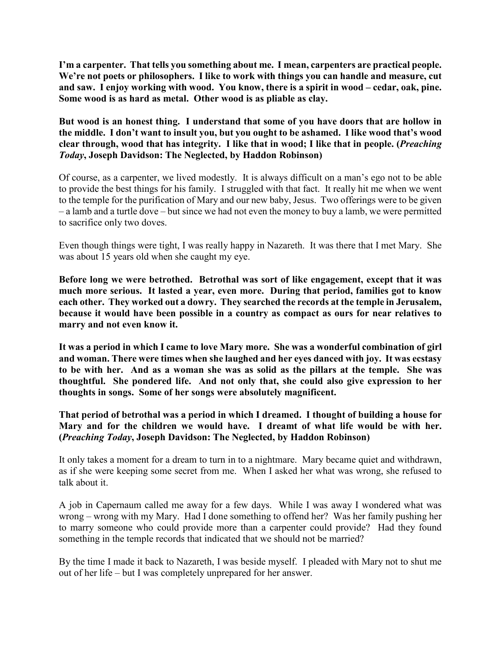**I'm a carpenter. That tells you something about me. I mean, carpenters are practical people. We're not poets or philosophers. I like to work with things you can handle and measure, cut and saw. I enjoy working with wood. You know, there is a spirit in wood – cedar, oak, pine. Some wood is as hard as metal. Other wood is as pliable as clay.**

**But wood is an honest thing. I understand that some of you have doors that are hollow in the middle. I don't want to insult you, but you ought to be ashamed. I like wood that's wood clear through, wood that has integrity. I like that in wood; I like that in people. (***Preaching Today***, Joseph Davidson: The Neglected, by Haddon Robinson)**

Of course, as a carpenter, we lived modestly. It is always difficult on a man's ego not to be able to provide the best things for his family. I struggled with that fact. It really hit me when we went to the temple for the purification of Mary and our new baby, Jesus. Two offerings were to be given – a lamb and a turtle dove – but since we had not even the money to buy a lamb, we were permitted to sacrifice only two doves.

Even though things were tight, I was really happy in Nazareth. It was there that I met Mary. She was about 15 years old when she caught my eye.

**Before long we were betrothed. Betrothal was sort of like engagement, except that it was much more serious. It lasted a year, even more. During that period, families got to know each other. They worked out a dowry. They searched the records at the temple in Jerusalem, because it would have been possible in a country as compact as ours for near relatives to marry and not even know it.**

**It was a period in which I came to love Mary more. She was a wonderful combination of girl and woman. There were times when she laughed and her eyes danced with joy. It was ecstasy to be with her. And as a woman she was as solid as the pillars at the temple. She was thoughtful. She pondered life. And not only that, she could also give expression to her thoughts in songs. Some of her songs were absolutely magnificent.**

**That period of betrothal was a period in which I dreamed. I thought of building a house for Mary and for the children we would have. I dreamt of what life would be with her. (***Preaching Today***, Joseph Davidson: The Neglected, by Haddon Robinson)**

It only takes a moment for a dream to turn in to a nightmare. Mary became quiet and withdrawn, as if she were keeping some secret from me. When I asked her what was wrong, she refused to talk about it.

A job in Capernaum called me away for a few days. While I was away I wondered what was wrong – wrong with my Mary. Had I done something to offend her? Was her family pushing her to marry someone who could provide more than a carpenter could provide? Had they found something in the temple records that indicated that we should not be married?

By the time I made it back to Nazareth, I was beside myself. I pleaded with Mary not to shut me out of her life – but I was completely unprepared for her answer.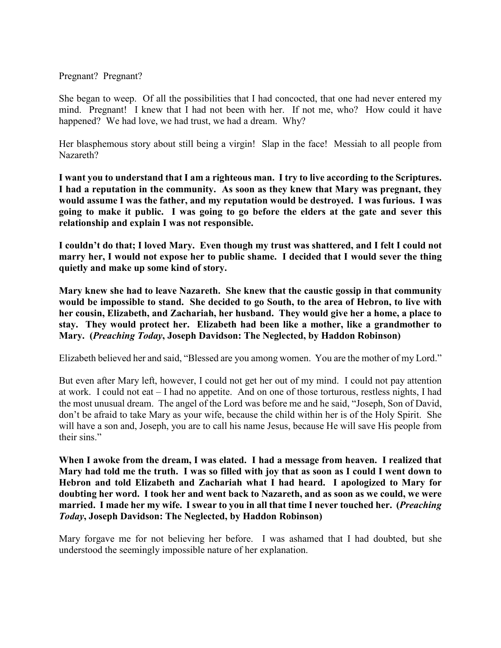## Pregnant? Pregnant?

She began to weep. Of all the possibilities that I had concocted, that one had never entered my mind. Pregnant! I knew that I had not been with her. If not me, who? How could it have happened? We had love, we had trust, we had a dream. Why?

Her blasphemous story about still being a virgin! Slap in the face! Messiah to all people from Nazareth?

**I want you to understand that I am a righteous man. I try to live according to the Scriptures. I had a reputation in the community. As soon as they knew that Mary was pregnant, they would assume I was the father, and my reputation would be destroyed. I was furious. I was going to make it public. I was going to go before the elders at the gate and sever this relationship and explain I was not responsible.**

**I couldn't do that; I loved Mary. Even though my trust was shattered, and I felt I could not marry her, I would not expose her to public shame. I decided that I would sever the thing quietly and make up some kind of story.**

**Mary knew she had to leave Nazareth. She knew that the caustic gossip in that community would be impossible to stand. She decided to go South, to the area of Hebron, to live with her cousin, Elizabeth, and Zachariah, her husband. They would give her a home, a place to stay. They would protect her. Elizabeth had been like a mother, like a grandmother to Mary. (***Preaching Today***, Joseph Davidson: The Neglected, by Haddon Robinson)**

Elizabeth believed her and said, "Blessed are you among women. You are the mother of my Lord."

But even after Mary left, however, I could not get her out of my mind. I could not pay attention at work. I could not eat – I had no appetite. And on one of those torturous, restless nights, I had the most unusual dream. The angel of the Lord was before me and he said, "Joseph, Son of David, don't be afraid to take Mary as your wife, because the child within her is of the Holy Spirit. She will have a son and, Joseph, you are to call his name Jesus, because He will save His people from their sins."

**When I awoke from the dream, I was elated. I had a message from heaven. I realized that Mary had told me the truth. I was so filled with joy that as soon as I could I went down to Hebron and told Elizabeth and Zachariah what I had heard. I apologized to Mary for doubting her word. I took her and went back to Nazareth, and as soon as we could, we were married. I made her my wife. I swear to you in all that time I never touched her. (***Preaching Today***, Joseph Davidson: The Neglected, by Haddon Robinson)**

Mary forgave me for not believing her before. I was ashamed that I had doubted, but she understood the seemingly impossible nature of her explanation.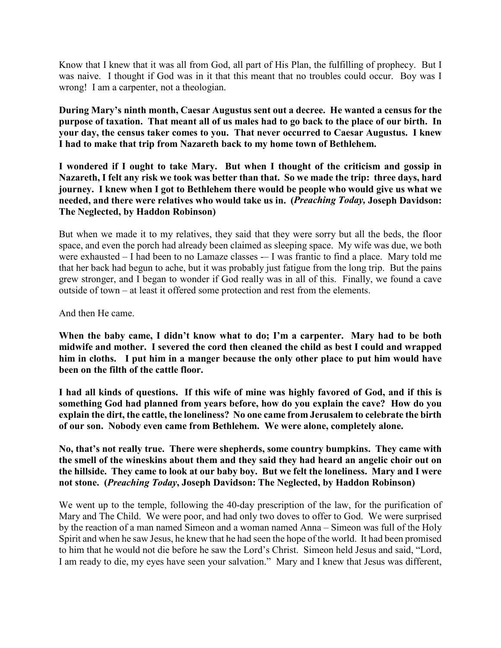Know that I knew that it was all from God, all part of His Plan, the fulfilling of prophecy. But I was naive. I thought if God was in it that this meant that no troubles could occur. Boy was I wrong! I am a carpenter, not a theologian.

**During Mary's ninth month, Caesar Augustus sent out a decree. He wanted a census for the purpose of taxation. That meant all of us males had to go back to the place of our birth. In your day, the census taker comes to you. That never occurred to Caesar Augustus. I knew I had to make that trip from Nazareth back to my home town of Bethlehem.**

**I wondered if I ought to take Mary. But when I thought of the criticism and gossip in Nazareth, I felt any risk we took was better than that. So we made the trip: three days, hard journey. I knew when I got to Bethlehem there would be people who would give us what we needed, and there were relatives who would take us in. (***Preaching Today,* **Joseph Davidson: The Neglected, by Haddon Robinson)**

But when we made it to my relatives, they said that they were sorry but all the beds, the floor space, and even the porch had already been claimed as sleeping space. My wife was due, we both were exhausted – I had been to no Lamaze classes – I was frantic to find a place. Mary told me that her back had begun to ache, but it was probably just fatigue from the long trip. But the pains grew stronger, and I began to wonder if God really was in all of this. Finally, we found a cave outside of town – at least it offered some protection and rest from the elements.

And then He came.

**When the baby came, I didn't know what to do; I'm a carpenter. Mary had to be both midwife and mother. I severed the cord then cleaned the child as best I could and wrapped him in cloths. I put him in a manger because the only other place to put him would have been on the filth of the cattle floor.**

**I had all kinds of questions. If this wife of mine was highly favored of God, and if this is something God had planned from years before, how do you explain the cave? How do you explain the dirt, the cattle, the loneliness? No one came from Jerusalem to celebrate the birth of our son. Nobody even came from Bethlehem. We were alone, completely alone.**

**No, that's not really true. There were shepherds, some country bumpkins. They came with the smell of the wineskins about them and they said they had heard an angelic choir out on the hillside. They came to look at our baby boy. But we felt the loneliness. Mary and I were not stone. (***Preaching Today***, Joseph Davidson: The Neglected, by Haddon Robinson)**

We went up to the temple, following the 40-day prescription of the law, for the purification of Mary and The Child. We were poor, and had only two doves to offer to God. We were surprised by the reaction of a man named Simeon and a woman named Anna – Simeon was full of the Holy Spirit and when he saw Jesus, he knew that he had seen the hope of the world. It had been promised to him that he would not die before he saw the Lord's Christ. Simeon held Jesus and said, "Lord, I am ready to die, my eyes have seen your salvation." Mary and I knew that Jesus was different,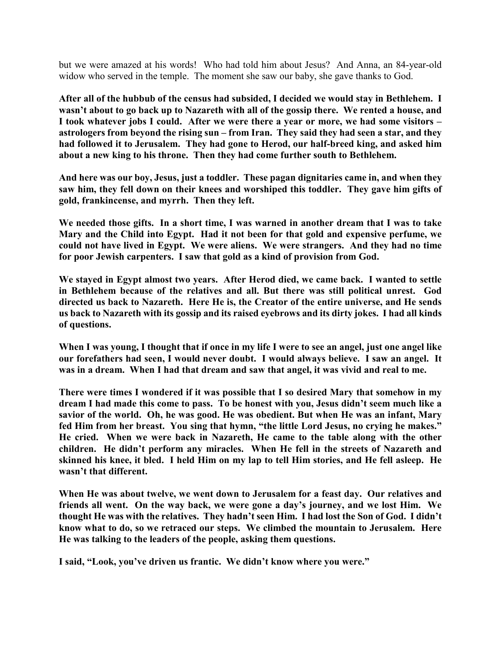but we were amazed at his words! Who had told him about Jesus? And Anna, an 84-year-old widow who served in the temple. The moment she saw our baby, she gave thanks to God.

**After all of the hubbub of the census had subsided, I decided we would stay in Bethlehem. I wasn't about to go back up to Nazareth with all of the gossip there. We rented a house, and I took whatever jobs I could. After we were there a year or more, we had some visitors – astrologers from beyond the rising sun – from Iran. They said they had seen a star, and they had followed it to Jerusalem. They had gone to Herod, our half-breed king, and asked him about a new king to his throne. Then they had come further south to Bethlehem.**

**And here was our boy, Jesus, just a toddler. These pagan dignitaries came in, and when they saw him, they fell down on their knees and worshiped this toddler. They gave him gifts of gold, frankincense, and myrrh. Then they left.**

**We needed those gifts. In a short time, I was warned in another dream that I was to take Mary and the Child into Egypt. Had it not been for that gold and expensive perfume, we could not have lived in Egypt. We were aliens. We were strangers. And they had no time for poor Jewish carpenters. I saw that gold as a kind of provision from God.**

**We stayed in Egypt almost two years. After Herod died, we came back. I wanted to settle in Bethlehem because of the relatives and all. But there was still political unrest. God directed us back to Nazareth. Here He is, the Creator of the entire universe, and He sends us back to Nazareth with its gossip and its raised eyebrows and its dirty jokes. I had all kinds of questions.**

**When I was young, I thought that if once in my life I were to see an angel, just one angel like our forefathers had seen, I would never doubt. I would always believe. I saw an angel. It was in a dream. When I had that dream and saw that angel, it was vivid and real to me.**

**There were times I wondered if it was possible that I so desired Mary that somehow in my dream I had made this come to pass. To be honest with you, Jesus didn't seem much like a savior of the world. Oh, he was good. He was obedient. But when He was an infant, Mary fed Him from her breast. You sing that hymn, "the little Lord Jesus, no crying he makes." He cried. When we were back in Nazareth, He came to the table along with the other children. He didn't perform any miracles. When He fell in the streets of Nazareth and skinned his knee, it bled. I held Him on my lap to tell Him stories, and He fell asleep. He wasn't that different.**

**When He was about twelve, we went down to Jerusalem for a feast day. Our relatives and friends all went. On the way back, we were gone a day's journey, and we lost Him. We thought He was with the relatives. They hadn't seen Him. I had lost the Son of God. I didn't know what to do, so we retraced our steps. We climbed the mountain to Jerusalem. Here He was talking to the leaders of the people, asking them questions.**

**I said, "Look, you've driven us frantic. We didn't know where you were."**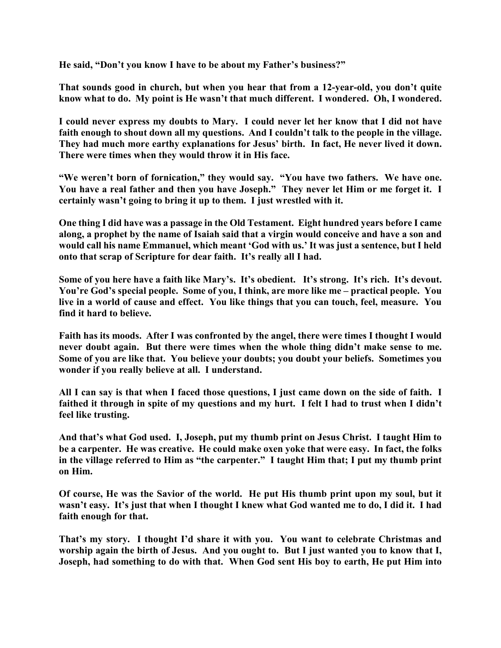**He said, "Don't you know I have to be about my Father's business?"**

**That sounds good in church, but when you hear that from a 12-year-old, you don't quite know what to do. My point is He wasn't that much different. I wondered. Oh, I wondered.**

**I could never express my doubts to Mary. I could never let her know that I did not have faith enough to shout down all my questions. And I couldn't talk to the people in the village. They had much more earthy explanations for Jesus' birth. In fact, He never lived it down. There were times when they would throw it in His face.**

**"We weren't born of fornication," they would say. "You have two fathers. We have one. You have a real father and then you have Joseph." They never let Him or me forget it. I certainly wasn't going to bring it up to them. I just wrestled with it.**

**One thing I did have was a passage in the Old Testament. Eight hundred years before I came along, a prophet by the name of Isaiah said that a virgin would conceive and have a son and would call his name Emmanuel, which meant 'God with us.' It was just a sentence, but I held onto that scrap of Scripture for dear faith. It's really all I had.**

**Some of you here have a faith like Mary's. It's obedient. It's strong. It's rich. It's devout. You're God's special people. Some of you, I think, are more like me – practical people. You live in a world of cause and effect. You like things that you can touch, feel, measure. You find it hard to believe.**

**Faith has its moods. After I was confronted by the angel, there were times I thought I would never doubt again. But there were times when the whole thing didn't make sense to me. Some of you are like that. You believe your doubts; you doubt your beliefs. Sometimes you wonder if you really believe at all. I understand.**

**All I can say is that when I faced those questions, I just came down on the side of faith. I faithed it through in spite of my questions and my hurt. I felt I had to trust when I didn't feel like trusting.**

**And that's what God used. I, Joseph, put my thumb print on Jesus Christ. I taught Him to be a carpenter. He was creative. He could make oxen yoke that were easy. In fact, the folks in the village referred to Him as "the carpenter." I taught Him that; I put my thumb print on Him.**

**Of course, He was the Savior of the world. He put His thumb print upon my soul, but it wasn't easy. It's just that when I thought I knew what God wanted me to do, I did it. I had faith enough for that.**

**That's my story. I thought I'd share it with you. You want to celebrate Christmas and worship again the birth of Jesus. And you ought to. But I just wanted you to know that I, Joseph, had something to do with that. When God sent His boy to earth, He put Him into**